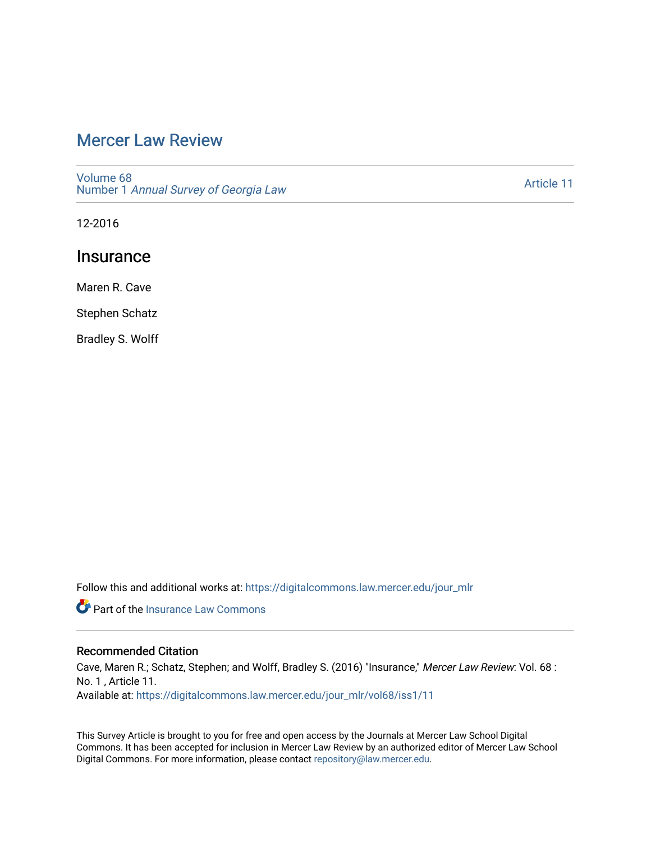## [Mercer Law Review](https://digitalcommons.law.mercer.edu/jour_mlr)

[Volume 68](https://digitalcommons.law.mercer.edu/jour_mlr/vol68) Number 1 [Annual Survey of Georgia Law](https://digitalcommons.law.mercer.edu/jour_mlr/vol68/iss1) 

[Article 11](https://digitalcommons.law.mercer.edu/jour_mlr/vol68/iss1/11) 

12-2016

## **Insurance**

Maren R. Cave

Stephen Schatz

Bradley S. Wolff

Follow this and additional works at: [https://digitalcommons.law.mercer.edu/jour\\_mlr](https://digitalcommons.law.mercer.edu/jour_mlr?utm_source=digitalcommons.law.mercer.edu%2Fjour_mlr%2Fvol68%2Fiss1%2F11&utm_medium=PDF&utm_campaign=PDFCoverPages)

**P** Part of the [Insurance Law Commons](http://network.bepress.com/hgg/discipline/607?utm_source=digitalcommons.law.mercer.edu%2Fjour_mlr%2Fvol68%2Fiss1%2F11&utm_medium=PDF&utm_campaign=PDFCoverPages)

## Recommended Citation

Cave, Maren R.; Schatz, Stephen; and Wolff, Bradley S. (2016) "Insurance," Mercer Law Review: Vol. 68 : No. 1 , Article 11. Available at: [https://digitalcommons.law.mercer.edu/jour\\_mlr/vol68/iss1/11](https://digitalcommons.law.mercer.edu/jour_mlr/vol68/iss1/11?utm_source=digitalcommons.law.mercer.edu%2Fjour_mlr%2Fvol68%2Fiss1%2F11&utm_medium=PDF&utm_campaign=PDFCoverPages) 

This Survey Article is brought to you for free and open access by the Journals at Mercer Law School Digital Commons. It has been accepted for inclusion in Mercer Law Review by an authorized editor of Mercer Law School Digital Commons. For more information, please contact [repository@law.mercer.edu](mailto:repository@law.mercer.edu).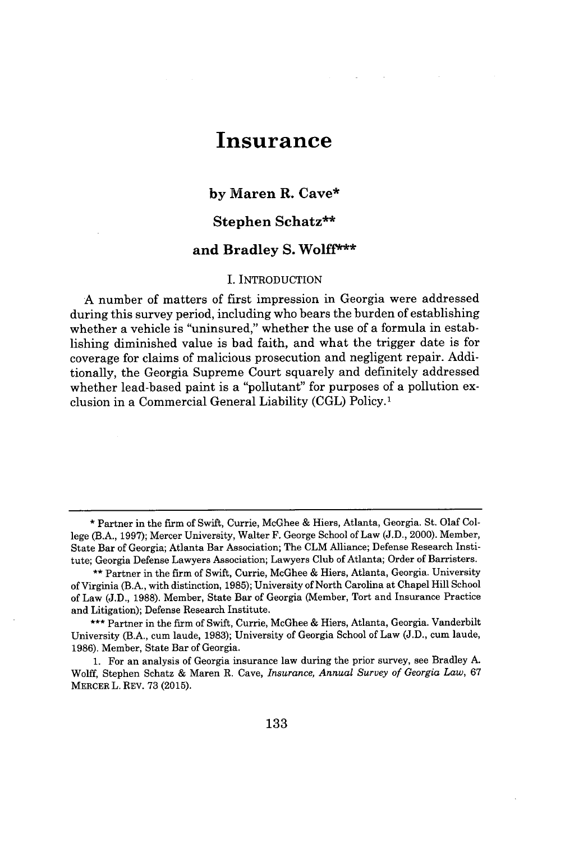# **Insurance**

## **by Maren R. Cave\***

## **Stephen Schatz\*\***

## **and Bradley S. Wolff\*\*\***

#### I. **INTRODUCTION**

**A** number of matters of first impression in Georgia were addressed during this survey period, including who bears the burden of establishing whether a vehicle is "uninsured," whether the use of a formula in establishing diminished value is bad faith, and what the trigger date is for coverage for claims of malicious prosecution and negligent repair. Additionally, the Georgia Supreme Court squarely and definitely addressed whether lead-based paint is a "pollutant" for purposes of a pollution exclusion in a Commercial General Liability **(CGL)** Policy.'

**<sup>\*</sup>** Partner in the firm of Swift, Currie, McGhee **&** Hiers, Atlanta, Georgia. St. Olaf College (B.A., **1997);** Mercer University, Walter F. George School of Law **(J.D.,** 2000). Member, State Bar of Georgia; Atlanta Bar Association; The CLM Alliance; Defense Research Institute; Georgia Defense Lawyers Association; Lawyers Club of Atlanta; Order of Barristers.

**<sup>\*\*</sup>** Partner in the firm of Swift, Currie, McGhee **&** Hiers, Atlanta, Georgia. University of Virginia (B.A., with distinction, **1985);** University of North Carolina at Chapel Hill School of Law **(J.D., 1988).** Member, State Bar of Georgia (Member, Tort and Insurance Practice and Litigation); Defense Research Institute.

**<sup>\*\*\*</sup>** Partner in the firm of Swift, Currie, McGhee **&** Hiers, Atlanta, Georgia. Vanderbilt University (B.A., cum laude, **1983);** University of Georgia School of Law **(J.D.,** cum laude, **1986).** Member, State Bar of Georgia.

**<sup>1.</sup>** For an analysis of Georgia insurance law during the prior survey, see Bradley **A.** Wolff, Stephen Schatz **&** Maren R. Cave, *Insurance, Annual Survey of Georgia Law,* **67** MERCER L. REV. **73 (2015).**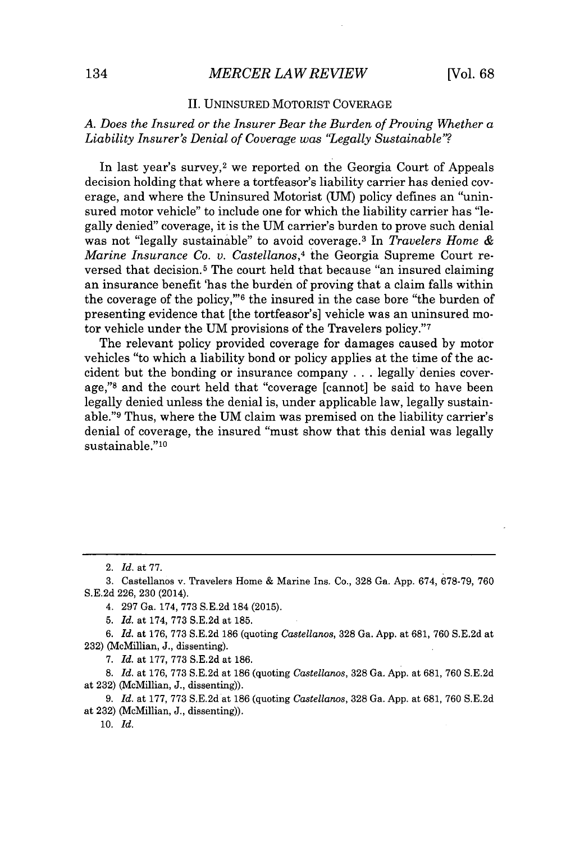#### **II.** UNINSURED.MOTORIST COVERAGE

*A. Does the Insured or the Insurer Bear the Burden of Proving Whether a Liability Insurer's Denial of Coverage was "Legally Sustainable"?*

In last year's survey,<sup>2</sup> we reported on the Georgia Court of Appeals decision holding that where a tortfeasor's liability carrier has denied coverage, and where the Uninsured Motorist **(UM)** policy defines an "uninsured motor vehicle" to include one for which the liability carrier has "legally denied" coverage, it is the **UM** carrier's burden to prove such denial was not "legally sustainable" to avoid coverage.<sup>3</sup> In *Travelers Home & Marine Insurance Co. v. Castellanos,4* the Georgia Supreme Court reversed that decision.<sup>5</sup> The court held that because "an insured claiming" an insurance benefit 'has the burden of proving that a claim falls within the coverage of the **policy,"'<sup>6</sup>**the insured in the case bore "the burden of presenting evidence that [the tortfeasor's] vehicle was an uninsured motor vehicle under the **UM** provisions of the Travelers **policy."'<sup>7</sup>**

The relevant policy provided coverage for damages caused **by** motor vehicles "to which a liability bond or policy applies at the time of the accident but the bonding or insurance company **.** . **.** legally denies coverage,"<sup>8</sup> and the court held that "coverage [cannot] be said to have been legally denied unless the denial is, under applicable law, legally sustainable."<sup>9</sup>Thus, where the **UM** claim was premised on the liability carrier's denial of coverage, the insured "must show that this denial was legally sustainable."<sup>10</sup>

*10. Id.*

<sup>2.</sup> *Id.* at **77.**

**<sup>3.</sup>** Castellanos v. Travelers Home **&** Marine Ins. Co., **328** Ga. **App.** 674, **678-79, 760 S.E.2d 226, 230** (2014).

<sup>4.</sup> **297** Ga. 174, **773 S.E.2d** 184 **(2015).**

**<sup>5.</sup>** *Id.* at 174, **773 S.E.2d** at **185.**

**<sup>6.</sup>** *Id.* at **176, 773 S.E.2d 186** (quoting *Castellanos,* **328** Ga. **App.** at **681, 760 S.E.2d** at **232)** (McMillian, **J.,** dissenting).

**<sup>7.</sup>** *Id.* at **177, 773 S.E.2d** at **186.**

**<sup>8.</sup>** *Id.* at **176, 773 S.E.2d** at **186** (quoting *Castellanos,* **328** Ga. **App.** at **681, 760 S.E.2d** at **232)** (McMillian, **J.,** dissenting)).

**<sup>9.</sup>** *Id.* at **177, 773 S.E.2d** at **186** (quoting *Castellanos,* **328** Ga. **App.** at **681, 760 S.E.2d** at **232)** (McMillian, **J.,** dissenting)).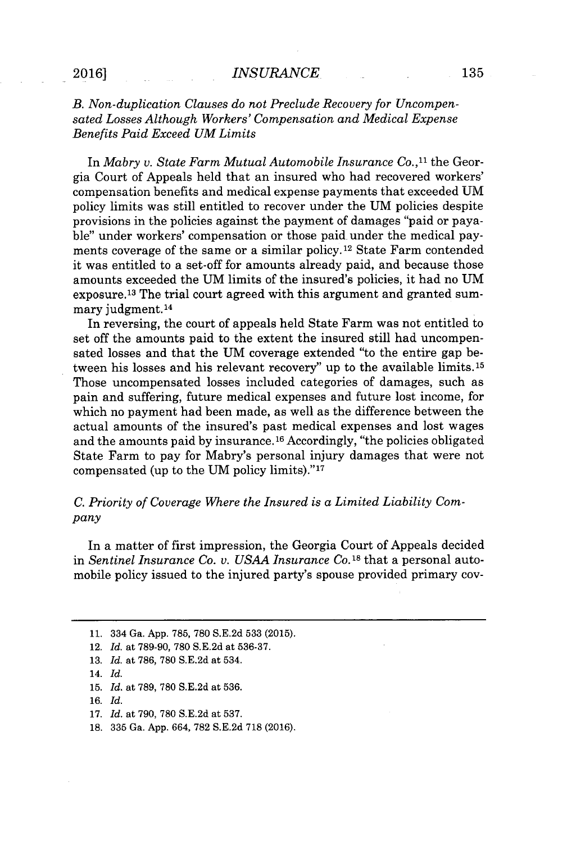## **2016]** *INSURANCE* **135**

## *B. Non-duplication Clauses do not Preclude Recovery for Uncompensated Losses Although Workers' Compensation and Medical Expense Benefits Paid Exceed UM Limits*

In *Mabry v. State Farm Mutual Automobile Insurance Co.,"* the Georgia Court of Appeals held that an insured who had recovered workers' compensation benefits and medical expense payments that exceeded **UM** policy limits was still entitled to recover under the **UM** policies despite provisions in the policies against the payment of damages "paid or payable" under workers' compensation or those paid. under the medical payments coverage of the same or a similar **policy.12** State Farm contended it was entitled to a set-off for amounts already paid, and because those amounts exceeded the **UM** limits of the insured's policies, it had no **UM** exposure.<sup>13</sup>The trial court agreed with this argument and granted summary judgment.<sup>14</sup>

In reversing, the court of appeals held State Farm was not entitled to set off the amounts paid to the extent the insured still had uncompensated losses and that the **UM** coverage extended "to the entire gap between his losses and his relevant recovery" up to the available limits.1<sup>5</sup> Those uncompensated losses included categories of damages, such as pain and suffering, future medical expenses and future lost income, for which no payment had been made, as well as the difference between the actual amounts of the insured's past medical expenses and lost wages and the amounts paid by insurance.<sup>16</sup> Accordingly, "the policies obligated State Farm to pay for Mabry's personal injury damages that were not compensated (up to the UM policy limits)."<sup>17</sup>

## *C. Priority of Coverage Where the Insured is a Limited Liability Company*

In a matter of first impression, the Georgia Court of Appeals decided in *Sentinel Insurance Co. v. USAA Insurance Co.* **18** that a personal automobile policy issued to the injured party's spouse provided primary cov-

- **16.** *Id.*
- **17.** *Id.* at **790, 780 S.E.2d** at **537.**
- **18. 335** Ga. **App.** 664, **782 S.E.2d 718 (2016).**

**<sup>11.</sup>** 334 Ga. **App. 785, 780 S.E.2d 533 (2015).**

<sup>12.</sup> *Id.* at **789-90, 780 S.E.2d** at **536-37.**

**<sup>13.</sup>** *Id.* at **786, 780 S.E.2d** at 534.

<sup>14.</sup> *Id.*

**<sup>15.</sup>** *Id.* at **789, 780 S.E.2d** at **536.**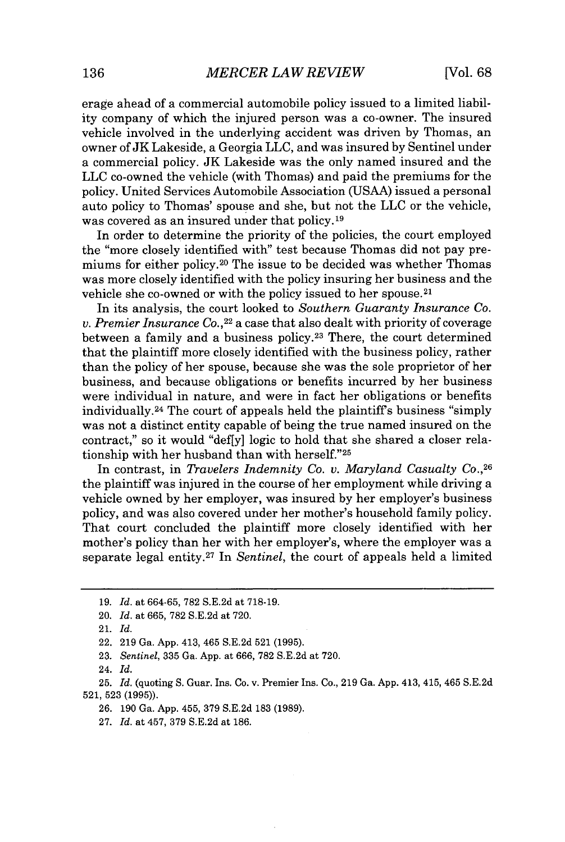erage ahead of a commercial automobile policy issued to a limited liability company of which the injured person was a co-owner. The insured vehicle involved in the underlying accident was driven **by** Thomas, an owner of **JK** Lakeside, a Georgia **LLC,** and was insured **by** Sentinel under a commercial policy. **JK** Lakeside was the only named insured and the **LLC** co-owned the vehicle (with Thomas) and paid the premiums for the policy. United Services Automobile Association **(USAA)** issued a personal auto policy to Thomas' spouse and she, but not the **LLC** or the vehicle, was covered as an insured under that policy.<sup>19</sup>

In order to determine the priority of the policies, the court employed the "more closely identified with" test because Thomas did not pay premiums for either **policy. <sup>20</sup>**The issue to be decided was whether Thomas was more closely identified with the policy insuring her business and the vehicle she co-owned or with the policy issued to her spouse. <sup>21</sup>

In its analysis, the court looked to *Southern Guaranty Insurance Co. v. Premier Insurance Co.*,<sup>22</sup> a case that also dealt with priority of coverage between a family and a business policy.<sup>23</sup> There, the court determined that the plaintiff more closely identified with the business policy, rather than the policy of her spouse, because she was the sole proprietor of her business, and because obligations or benefits incurred **by** her business were individual in nature, and were in fact her obligations or benefits individually.<sup>24</sup> The court of appeals held the plaintiff's business "simply was not a distinct entity capable of being the true named insured on the contract," so it would "def[y] logic to hold that she shared a closer relationship with her husband than with herself."25

In contrast, in *Travelers Indemnity Co. v. Maryland Casualty Co.,*<sup>26</sup> the plaintiff was injured in the course of her employment while driving a vehicle owned **by** her employer, was insured **by** her employer's business policy, and was also covered under her mother's household family policy. That court concluded the plaintiff more closely identified with her mother's policy than her with her employer's, where the employer was a separate legal entity.<sup>27</sup>In *Sentinel,* the court of appeals held a limited

24. *Id.*

**<sup>19.</sup>** *Id. at* **664-65, 782 S.E.2d** at **718-19.**

<sup>20.</sup> *Id. at* **665, 782 S.E.2d** at **720.**

<sup>21.</sup> *Id.*

<sup>22.</sup> **219** Ga. **App.** 413, 465 **S.E.2d 521 (1995).**

**<sup>23.</sup>** *Sentinel,* **335** Ga. **App.** at **666, 782 S.E.2d** at **720.**

**<sup>25.</sup>** *Id.* (quoting **S.** Guar. Ins. Co. v. Premier Ins. Co., **219** Ga. **App.** 413, 415, 465 **S.E.2d 521, 523 (1995)).**

**<sup>26. 190</sup> Ga. App. 455, 379 S.E.2d 183 (1989).**

**<sup>27.</sup>** *Id.* at 457, **379 S.E.2d** at **186.**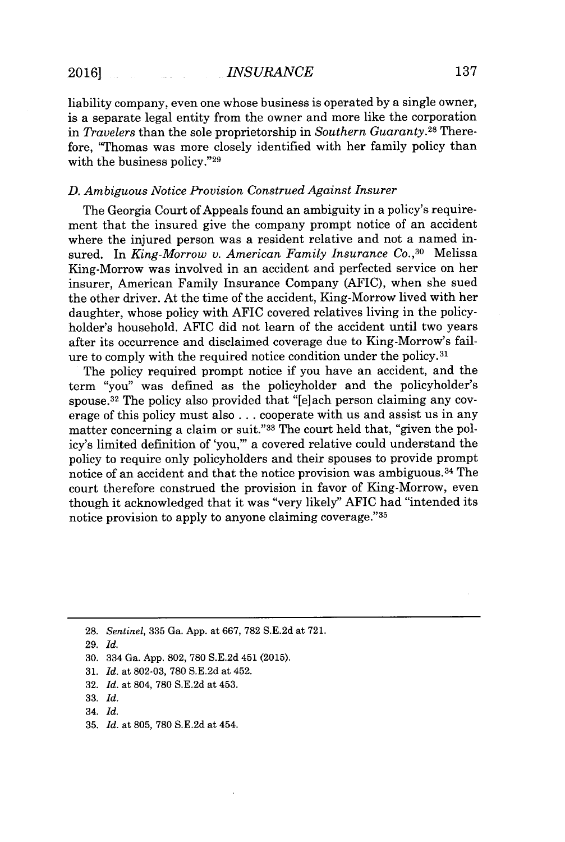liability company, even one whose business is operated **by** a single owner, is a separate legal entity from the owner and more like the corporation in *Travelers* than the sole proprietorship in *Southern Guaranty.<sup>28</sup>*Therefore, "Thomas was more closely identified with her family policy than with the business policy."<sup>29</sup>

#### *D. Ambiguous Notice Provision Construed Against Insurer*

The Georgia Court of Appeals found an ambiguity in a policy's requirement that the insured give the company prompt notice of an accident where the injured person was a resident relative and not a named insured. In *King-Morrow v. American Family Insurance Co.*,<sup>30</sup> Melissa King-Morrow was involved in an accident and perfected service on her insurer, American Family Insurance Company **(AFIC),** when she sued the other driver. At the time of the accident, King-Morrow lived with her daughter, whose policy with **AFIC** covered relatives living in the policyholder's household. AFIC did not learn of the accident until two years after its occurrence and disclaimed coverage due to King-Morrow's failure to comply with the required notice condition under the **policy. <sup>31</sup>**

The policy required prompt notice if you have an accident, and the term "you" was defined as the policyholder and the policyholder's spouse.<sup>32</sup> The policy also provided that "[e]ach person claiming any coverage of this policy must also **.** . **.** cooperate with us and assist us in any matter concerning a claim or suit."33 The court held that, "given the policy's limited definition of 'you,"' a covered relative could understand the policy to require only policyholders and their spouses to provide prompt notice of an accident and that the notice provision was ambiguous.<sup>34</sup> The court therefore construed the provision in favor of King-Morrow, even though it acknowledged that it was "very likely" AFIC had "intended its notice provision to apply to anyone claiming coverage."<sup>35</sup>

**28.** *Sentinel,* **335** Ga. **App.** at **667, 782 S.E.2d** at **721.**

**35.** *Id.* at **805, 780 S.E.2d** at 454.

**<sup>29.</sup>** *Id.*

**<sup>30.</sup>** 334 Ga. **App. 802, 780 S.E.2d** 451 **(2015).**

**<sup>31.</sup>** *Id.* at **802-03, 780 S.E.2d** at 452.

**<sup>32.</sup>** *Id.* at 804, **780 S.E.2d** at 453.

**<sup>33.</sup>** *Id.*

<sup>34.</sup> *Id.*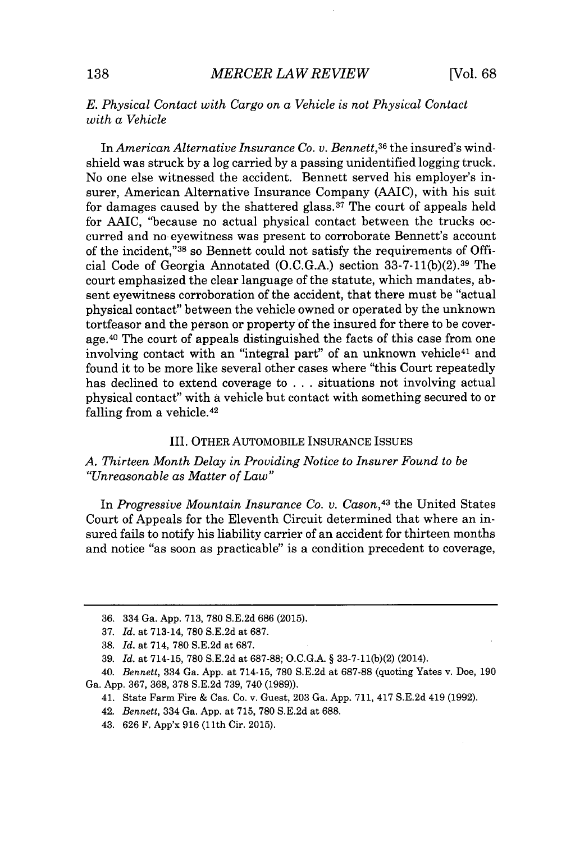## *E. Physical Contact with Cargo on a Vehicle is not Physical Contact with a Vehicle*

In *American Alternative Insurance Co. v. Bennett,36* the insured's windshield was struck **by** a log carried **by** a passing unidentified logging truck. No one else witnessed the accident. Bennett served his employer's insurer, American Alternative Insurance Company **(AAIC),** with his suit for damages caused by the shattered glass.<sup>37</sup> The court of appeals held for **AAIC,** "because no actual physical contact between the trucks occurred and no eyewitness was present to corroborate Bennett's account of the incident,"<sup>38</sup> so Bennett could not satisfy the requirements of Official Code of Georgia Annotated **(O.C.G.A.)** section **33-7-11(b)(2). <sup>39</sup>**The court emphasized the clear language of the statute, which mandates, absent eyewitness corroboration of the accident, that there must be "actual physical contact" between the vehicle owned or operated **by** the unknown tortfeasor and the person or property of the insured for there to be coverage.<sup>40</sup> The court of appeals distinguished the facts of this case from one involving contact with an "integral part" of an unknown vehicle<sup>41</sup> and found it to be more like several other cases where "this Court repeatedly has declined to extend coverage to **.** . **.** situations not involving actual physical contact" with a vehicle but contact with something secured to or falling from a vehicle.<sup>42</sup>

#### III. OTHER AUTOMOBILE **INSURANCE ISSUES**

## *A. Thirteen Month Delay in Providing Notice to Insurer Found to be "Unreasonable as Matter of Law"*

In *Progressive Mountain Insurance Co. v. Cason*<sup>43</sup> the United States Court of Appeals for the Eleventh Circuit determined that where an insured fails to notify his liability carrier of an accident for thirteen months and notice "as soon as practicable" is a condition precedent to coverage,

40. *Bennett,* 334 Ga. **App.** at 714-15, **780 S.E.2d** at **687-88** (quoting Yates v. Doe, **190** Ga. **App. 367, 368, 378 S.E.2d 739,** 740 **(1989)).**

**<sup>36.</sup>** 334 Ga. **App. 713, 780 S.E.2d 686 (2015).**

**<sup>37.</sup>** *Id. at* 713-14, **780 S.E.2d** at **687.**

**<sup>38.</sup>** *Id.* at 714, **780 S.E.2d** at **687.**

**<sup>39.</sup>** *Id.* at 714-15, **780 S.E.2d** at **687-88; O.C.G.A.** *§* **33-7-11(b)(2)** (2014).

<sup>41.</sup> State Farm Fire **&** Cas. Co. v. Guest, **203** Ga. **App. 711,** 417 **S.E.2d** 419 **(1992).**

<sup>42.</sup> *Bennett,* 334 Ga. **App.** at **715, 780 S.E.2d** at **688.**

<sup>43.</sup> **626** F. App'x **916** (11th Cir. **2015).**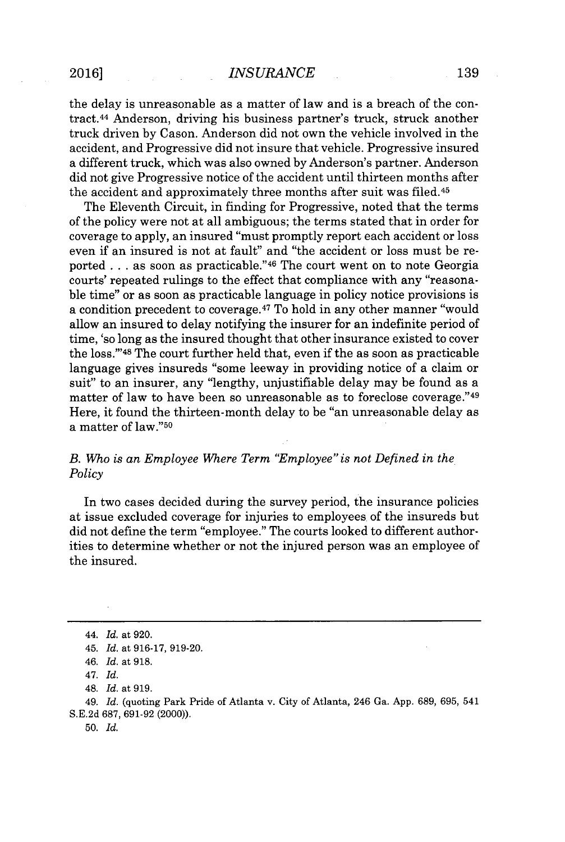#### **2016]** *INSURANCE* **139**

the delay is unreasonable as a matter of law and is a breach of the contract.<sup>44</sup>Anderson, driving his business partner's truck, struck another truck driven **by** Cason. Anderson did not own the vehicle involved in the accident, and Progressive did not insure that vehicle. Progressive insured a different truck, which was also owned **by** Anderson's partner. Anderson did not give Progressive notice of the accident until thirteen months after the accident and approximately three months after suit was filed.<sup>45</sup>

The Eleventh Circuit, in finding for Progressive, noted that the terms of the policy were not at all ambiguous; the terms stated that in order for coverage to apply, an insured "must promptly report each accident or loss even if an insured is not at fault" and "the accident or loss must be reported **.** . **.** as soon as practicable."4 6 The court went on to note Georgia courts' repeated rulings to the effect that compliance with any "reasonable time" or as soon as practicable language in policy notice provisions is a condition precedent to coverage.<sup>47</sup> To hold in any other manner "would allow an insured to delay notifying the insurer for an indefinite period of time, 'so long as the insured thought that other insurance existed to cover the loss."<sup>48</sup> The court further held that, even if the as soon as practicable language gives insureds "some leeway in providing notice of a claim or suit" to an insurer, any "lengthy, unjustifiable delay may be found as a matter of law to have been so unreasonable as to foreclose coverage." <sup>49</sup> Here, it found the thirteen-month delay to be "an unreasonable delay as a matter of law."<sup>50</sup>

## *B. Who is an Employee Where Term "Employee" is not Defined in the Policy*

In two cases decided during the survey period, the insurance policies at issue excluded coverage for injuries to employees of the insureds but did not define the term "employee." The courts looked to different authorities to determine whether or not the injured person was an employee of the insured.

*<sup>44.</sup> Id.* at **920.**

*<sup>45.</sup> Id.* at **916-17, 919-20.**

*<sup>46.</sup> Id.* at **918.**

*<sup>47.</sup> Id.*

<sup>48.</sup> *Id.* at **919.**

<sup>49.</sup> *Id.* (quoting Park Pride of Atlanta v. City of Atlanta, 246 Ga. **App. 689, 695,** 541 **S.E.2d 687, 691-92** (2000)).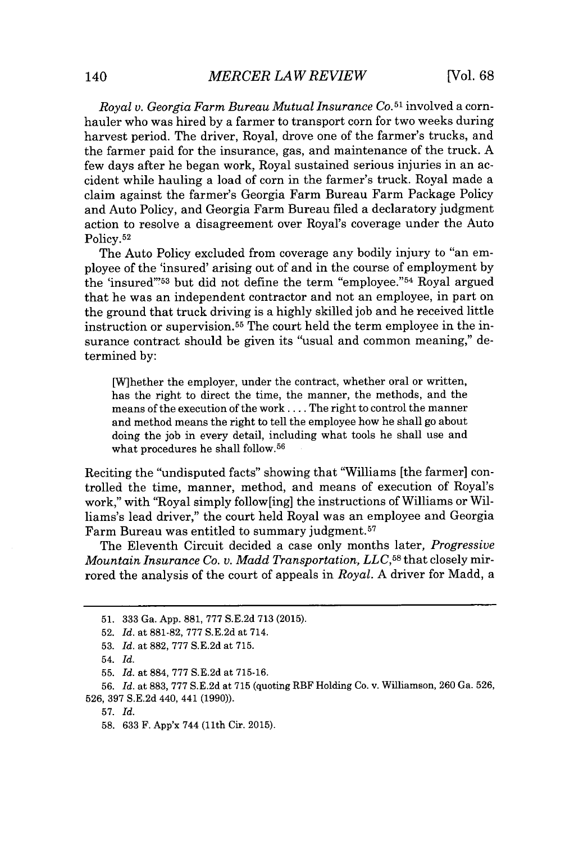*Royal v. Georgia Farm Bureau Mutual Insurance* **Co.51** involved a cornhauler who was hired **by** a farmer to transport corn for two weeks during harvest period. The driver, Royal, drove one of the farmer's trucks, and the farmer paid for the insurance, gas, and maintenance of the truck. **A** few days after he began work, Royal sustained serious injuries in an accident while hauling a load of corn in the farmer's truck. Royal made a claim against the farmer's Georgia Farm Bureau Farm Package Policy and Auto Policy, and Georgia Farm Bureau filed a declaratory judgment action to resolve a disagreement over Royal's coverage under the Auto **Policy. 52**

The Auto Policy excluded from coverage any bodily injury to "an employee of the 'insured' arising out of and in the course of employment **by** the 'insured"<sup>53</sup> but did not define the term "employee."<sup>54</sup> Royal argued that he was an independent contractor and not an employee, in part on the ground that truck driving is a **highly** skilled **job** and he received little instruction or supervision.<sup>55</sup> The court held the term employee in the insurance contract should be given its "usual and common meaning," determined **by:**

[Wihether the employer, under the contract, whether oral or written, has the right to direct the time, the manner, the methods, and the means of the execution of the work **....** The right to control the manner and method means the right to tell the employee how he shall go about doing the **job** in every detail, including what tools he shall use and what procedures he shall **follow. <sup>56</sup>**

Reciting the "undisputed facts" showing that "Williams [the farmer] controlled the time, manner, method, and means of execution of Royal's work," with "Royal simply follow [ing] the instructions of Williams or Williams's lead driver," the court held Royal was an employee and Georgia Farm Bureau was entitled to summary judgment.<sup>57</sup>

The Eleventh Circuit decided a case only months later, *Progressive Mountain Insurance Co. v. Madd Transportation, LLC,58* that closely mirrored the analysis of the court of appeals in *Royal.* **A** driver for Madd, a

**56.** *Id.* at **883, 777 S.E.2d** at **715** (quoting RBF Holding Co. v. Williamson, **260** Ga. **526, 526, 397 S.E.2d** 440, 441 **(1990)).**

**57.** *Id.*

**<sup>51. 333</sup>** Ga. **App. 881, 777 S.E.2d 713 (2015).**

**<sup>52.</sup>** *Id.* at **881-82, 777 S.E.2d** at 714.

**<sup>53.</sup>** *Id.* at **882, 777 S.E.2d** at **715.**

<sup>54.</sup> *Id.*

**<sup>55.</sup>** *Id.* at **884, 777 S.E.2d** at **715-16.**

**<sup>58. 633</sup>** F. App'x 744 (11th Cir. **2015).**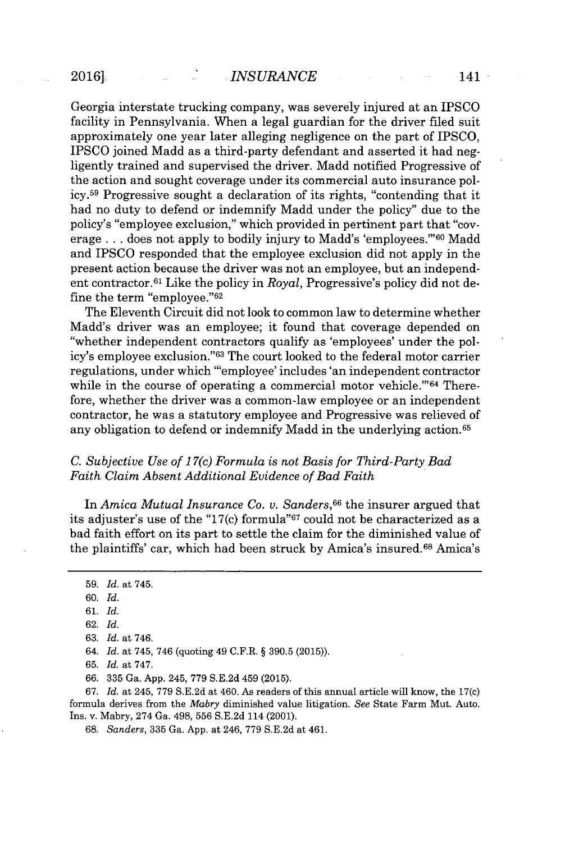Georgia interstate trucking company, was severely injured at an IPSCO facility in Pennsylvania. When a legal guardian for the driver filed suit approximately one year later alleging negligence on the part of **IPSCO, IPSCO** joined Madd as a third-party defendant and asserted it had negligently trained and supervised the driver. Madd notified Progressive of the action and sought coverage under its commercial auto insurance pol**icy.<sup>5</sup> <sup>9</sup>**Progressive sought a declaration of its rights, "contending that it had no duty to defend or indemnify Madd under the policy" due to the policy's "employee exclusion," which provided in pertinent part that "coverage . . . does not apply to bodily injury to Madd's 'employees."<sup>60</sup> Madd and IPSCO responded that the employee exclusion did not apply in the present action because the driver was not an employee, but an independent contractor.6 1 Like the policy in *Royal,* Progressive's policy did not define the term "employee."<sup>62</sup>

The Eleventh Circuit did not look to common law to determine whether Madd's driver was an employee; it found that coverage depended on "whether independent contractors qualify as 'employees' under the policy's employee exclusion."<sup>63</sup> The court looked to the federal motor carrier regulations, under which "'employee' includes 'an independent contractor while in the course of operating a commercial motor vehicle."<sup>64</sup> Therefore, whether the driver was a common-law employee or an independent contractor, he was a statutory employee and Progressive was relieved of any obligation to defend or indemnify Madd in the underlying action.<sup>65</sup>

#### *C. Subjective Use of 17(c) Formula is not Basis for Third-Party Bad Faith Claim Absent Additional Evidence of Bad Faith*

In *Amica Mutual Insurance Co. v. Sanders,<sup>66</sup>*the insurer argued that its adjuster's use of the "17 $(c)$  formula"<sup>67</sup> could not be characterized as a bad faith effort on its part to settle the claim for the diminished value of the plaintiffs' car, which had been struck **by** Amica's insured.6<sup>6</sup>Amica's

**63.** *Id.* at 746.

*64. Id.* at 745, 746 (quoting *49* C.F.R. **§ 390.5 (2015)).**

**65.** *Id.* at **747.**

*66.* **335** Ga. **App.** 245, **779 S.E.2d** 459 **(2015).**

*67. Id.* at 245, *779* **S.E.2d** at 460. As readers of this annual article will know, the 17(c) formula derives from the *Mabry* diminished value litigation. *See* State Farm Mut. Auto. Ins. v. Mabry, 274 Ga. **498, 556 S.E.2d** 114 (2001).

**68.** *Sanders,* **335** Ga. **App.** at 246, **779 S.E.2d** at 461.

**<sup>59.</sup>** *Id.* at 745.

**<sup>60.</sup>** *Id.*

**<sup>61.</sup>** *Id.*

**<sup>62.</sup>** *Id.*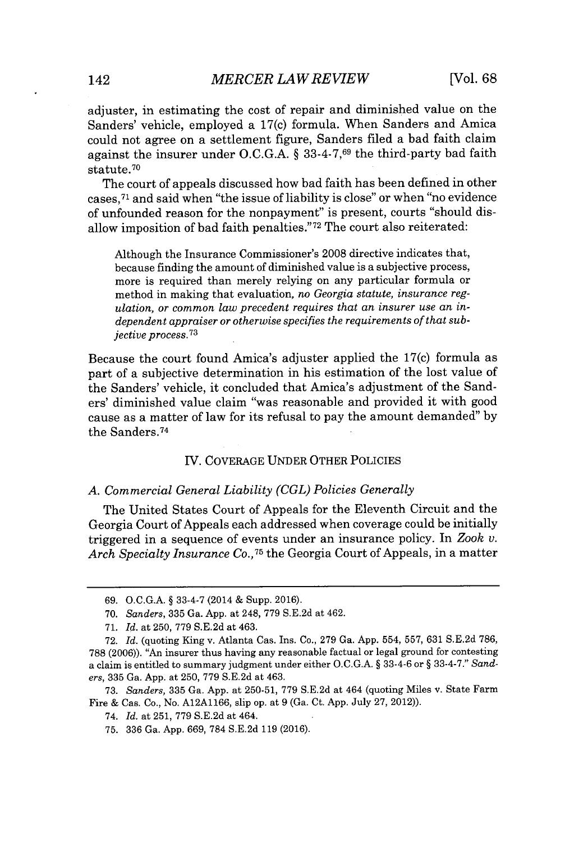adjuster, in estimating the cost of repair and diminished value on the Sanders' vehicle, employed a 17(c) formula. When Sanders and Amica could not agree on a settlement figure, Sanders filed a bad faith claim against the insurer under **O.C.G.A.** *§* **33-4-7,69** the third-party bad faith statute. <sup>70</sup>

The court of appeals discussed how bad faith has been defined in other cases,<sup>71</sup> and said when "the issue of liability is close" or when "no evidence of unfounded reason for the nonpayment" is present, courts "should disallow imposition of bad faith penalties."<sup>72</sup> The court also reiterated:

Although the Insurance Commissioner's **2008** directive indicates that, because finding the amount of diminished value is a subjective process, more is required than merely relying on any particular formula or method in making that evaluation, *no Georgia statute, insurance regulation, or common law precedent requires that an insurer use an independent appraiser or otherwise specifies the requirements of that subjective process.<sup>73</sup>*

Because the court found Amica's adjuster applied the 17(c) formula as part of a subjective determination in his estimation of the lost value of the Sanders' vehicle, it concluded that Amica's adjustment of the Sanders' diminished value claim "was reasonable and provided it with good cause as a matter of law for its refusal to pay the amount demanded" **by** the Sanders.<sup>74</sup>

#### IV. COVERAGE **UNDER** OTHER POLICIES

#### *A. Commercial General Liability (CGL) Policies Generally*

The United States Court of Appeals for the Eleventh Circuit and the Georgia Court of Appeals each addressed when coverage could be initially triggered in a sequence of events under an insurance policy. In *Zook v. Arch Specialty Insurance Co., <sup>7</sup>5* the Georgia Court of Appeals, in a matter

**<sup>69.</sup> O.C.G.A. § 33-4-7** (2014 **&** Supp. **2016).**

**<sup>70.</sup>** *Sanders,* **335** Ga. **App.** at 248, **779 S.E.2d** at 462.

**<sup>71.</sup>** *Id.* at **250, 779 S.E.2d** at 463.

**<sup>72.</sup>** *Id.* (quoting King v. Atlanta Cas. Ins. Co., **279** Ga. **App.** 554, **557, 631 S.E.2d 786, 788 (2006)).** *"An* insurer thus having any reasonable factual or legal ground for contesting a claim is entitled to summary judgment under either **O.C.G.A. §** 33-4-6 or **§ 33-4-7."** *Sanders,* **335** Ga. **App.** at **250, 779 S.E.2d** at 463.

**<sup>73.</sup>** *Sanders,* **335** Ga. **App.** at **250-51, 779 S.E.2d** at 464 (quoting Miles v. State Farm Fire **&** Cas. Co., No. **A12A1166,** slip op. at **9** (Ga. Ct. **App.** July **27,** 2012)).

<sup>74.</sup> *Id.* at **251, 779 S.E.2d** at 464.

**<sup>75. 336</sup>** Ga. **App. 669, 784 S.E.2d 119 (2016).**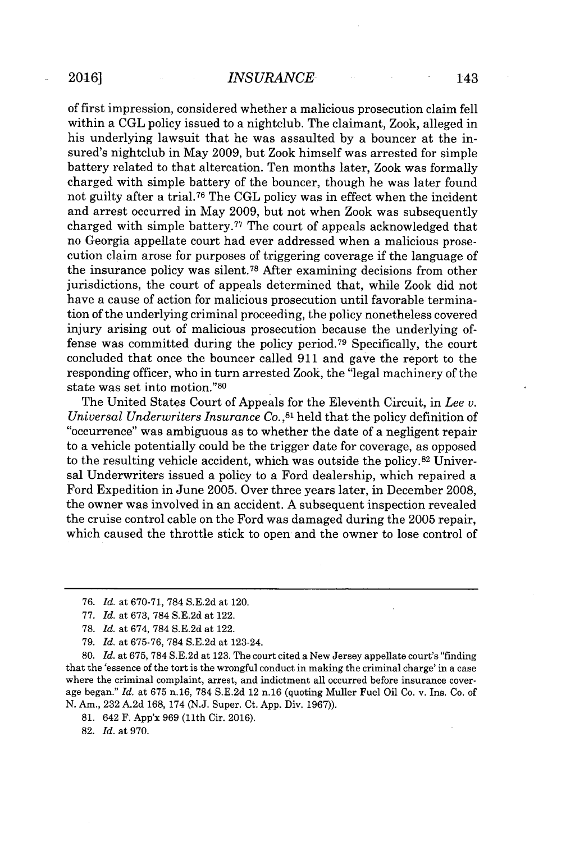of first impression, considered whether a malicious prosecution claim fell within a **CGL** policy issued to a nightclub. The claimant, Zook, alleged in his underlying lawsuit that he was assaulted **by** a bouncer at the insured's nightclub in May **2009,** but Zook himself was arrested for simple battery related to that altercation. Ten months later, Zook was formally charged with simple battery of the bouncer, though he was later found not guilty after a trial.<sup>76</sup> The CGL policy was in effect when the incident and arrest occurred in May **2009,** but not when Zook was subsequently charged with simple battery.<sup>77</sup> The court of appeals acknowledged that no Georgia appellate court had ever addressed when a malicious prosecution claim arose for purposes of triggering coverage if the language of the insurance policy was silent.<sup>78</sup>After examining decisions from other jurisdictions, the court of appeals determined that, while Zook did not have a cause of action for malicious prosecution until favorable termination of the underlying criminal proceeding, the policy nonetheless covered injury arising out of malicious prosecution because the underlying offense was committed during the policy period.<sup>79</sup> Specifically, the court concluded that once the bouncer called **911** and gave the report to the responding officer, who in turn arrested Zook, the "legal machinery of the state was set into motion."<sup>80</sup>

The United States Court of Appeals for the Eleventh Circuit, in *Lee v. Universal Underwriters Insurance* **Co., <sup>81</sup>**held that the policy definition of "occurrence" was ambiguous as to whether the date of a negligent repair to a vehicle potentially could be the trigger date for coverage, as opposed to the resulting vehicle accident, which was outside the **policy. <sup>82</sup>**Universal Underwriters issued a policy to a Ford dealership, which repaired a Ford Expedition in June **2005.** Over three years later, in December **2008,** the owner was involved in an accident. **A** subsequent inspection revealed the cruise control cable on the Ford was damaged during the **2005** repair, which caused the throttle stick to open and the owner to lose control of

- *77. Id.* at **673, 784 S.E.2d** at 122.
- **78.** *Id.* at 674, **784 S.E.2d** at 122.
- *79. Id.* at **675-76, 784 S.E.2d** at 123-24.

**80.** *Id.* at **675, 784 S.E.2d** at **123.** The court cited a New Jersey appellate court's "finding that the 'essence of the tort is the wrongful conduct in making the criminal charge' in a case where the criminal complaint, arrest, and indictment all occurred before insurance coverage began." *Id.* at **675 n.16, 784 S.E.2d** 12 **n.16** (quoting Muller Fuel Oil Co. v. Ins. Co. of **N.** Am., **232 A.2d 168, 174 (N.J.** Super. Ct. **App.** Div. **1967)).**

**81.** 642 F. App'x 969 (11th Cir. 2016).

**82.** *Id.* at **970.**

*<sup>76.</sup> Id.* at **670-71, 784 S.E.2d** at 120.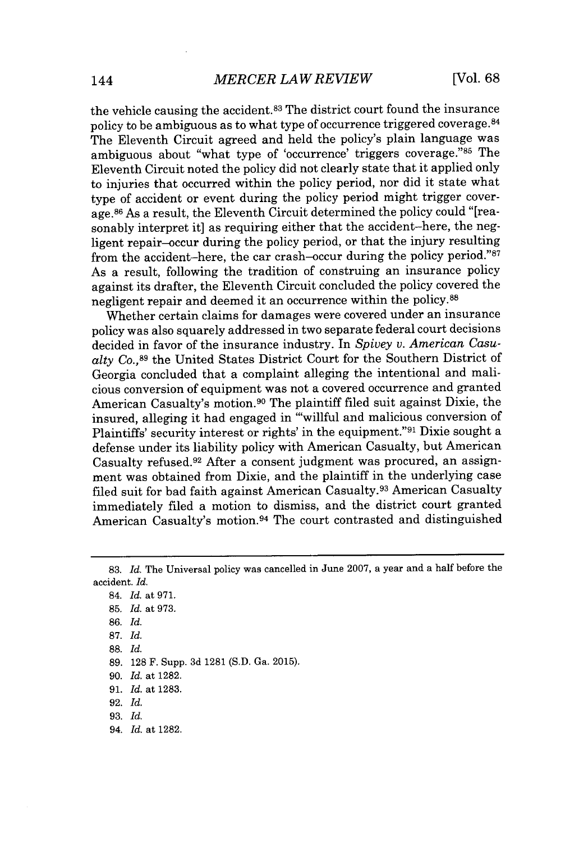the vehicle causing the accident.<sup>83</sup> The district court found the insurance policy to be ambiguous as to what type of occurrence triggered coverage. <sup>84</sup> The Eleventh Circuit agreed and held the policy's plain language was ambiguous about "what type of 'occurrence' triggers coverage."<sup>85</sup> The Eleventh Circuit noted the policy did not clearly state that it applied only to injuries that occurred within the policy period, nor did it state what type of accident or event during the policy period might trigger coverage. <sup>86</sup>As a result, the Eleventh Circuit determined the policy could "[reasonably interpret it] as requiring either that the accident-here, the negligent repair-occur during the policy period, or that the injury resulting from the accident-here, the car crash-occur during the policy period."<sup>87</sup> As a result, following the tradition of construing an insurance policy against its drafter, the Eleventh Circuit concluded the policy covered the negligent repair and deemed it an occurrence within the **policy.8 8**

Whether certain claims for damages were covered under an insurance policy was also squarely addressed in two separate federal court decisions decided in favor of the insurance industry. In *Spivey v. American Casu*alty Co.,89 the United States District Court for the Southern District of Georgia concluded that a complaint alleging the intentional and malicious conversion of equipment was not a covered occurrence and granted American Casualty's motion.<sup>90</sup> The plaintiff filed suit against Dixie, the insured, alleging it had engaged in "'willful and malicious conversion of Plaintiffs' security interest or rights' in the equipment."<sup>91</sup> Dixie sought a defense under its liability policy with American Casualty, but American Casualty refused.<sup>92</sup> After a consent judgment was procured, an assignment was obtained from Dixie, and the plaintiff in the underlying case filed suit for bad faith against American Casualty.<sup>93</sup> American Casualty immediately filed a motion to dismiss, and the district court granted American Casualty's motion.<sup>94</sup> The court contrasted and distinguished

**<sup>83.</sup>** *Id.* The Universal policy was cancelled in June **2007,** a year and a half before the accident. *Id.*

<sup>84.</sup> *Id.* at **971.**

**<sup>85.</sup>** *Id.* at **973.**

**<sup>86.</sup>** *Id.*

**<sup>87.</sup>** *Id.*

**<sup>88.</sup>** *Id.*

**<sup>89. 128</sup>** F. Supp. **3d 1281 (S.D.** Ga. **2015).**

**<sup>90.</sup>** *Id.* at **1282.**

**<sup>91.</sup>** *Id.* at **1283.**

**<sup>92.</sup>** *Id.*

**<sup>93.</sup>** *Id.*

*<sup>94.</sup> Id.* at **1282.**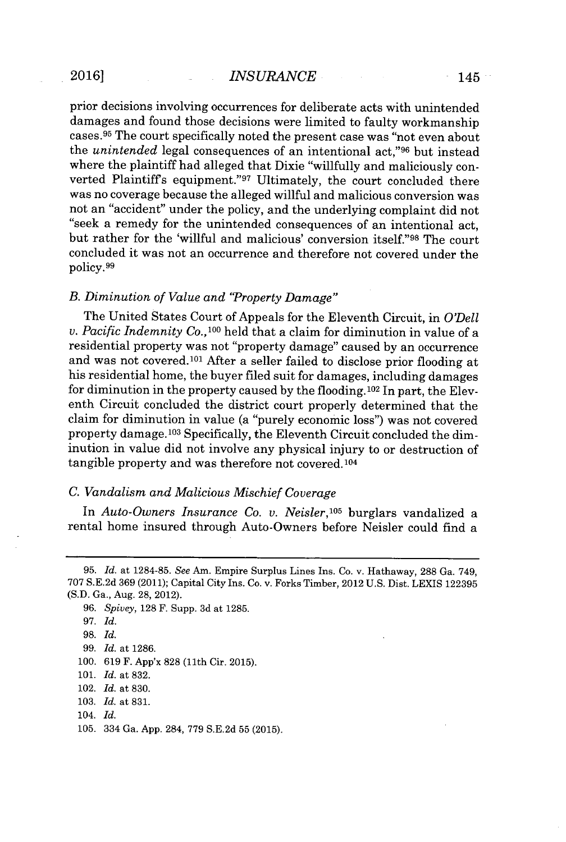prior decisions involving occurrences for deliberate acts with unintended damages and found those decisions were limited to faulty workmanship cases.<sup>95</sup> The court specifically noted the present case was "not even about the *unintended* legal consequences of an intentional act,"<sup>96</sup> but instead where the plaintiff had alleged that Dixie "willfully and maliciously converted Plaintiff's equipment."97 Ultimately, the court concluded there was no coverage because the alleged willful and malicious conversion was not an "accident" under the policy, and the underlying complaint did not "seek a remedy for the unintended consequences of an intentional act, but rather for the 'willful and malicious' conversion itself."98 The court concluded it was not an occurrence and therefore not covered under the policy.<sup>99</sup>

#### *B. Diminution of Value and "Property Damage"*

The United States Court of Appeals for the Eleventh Circuit, in *O'Dell v. Pacific Indemnity Co.*, <sup>100</sup> held that a claim for diminution in value of a residential property was not "property damage" caused **by** an occurrence and was not covered.101 After a seller failed to disclose prior flooding at his residential home, the buyer filed suit for damages, including damages for diminution in the property caused **by** the flooding.102 In part, the Eleventh Circuit concluded the district court properly determined that the claim for diminution in value (a "purely economic loss") was not covered property damage.103 Specifically, the Eleventh Circuit concluded the diminution in value did not involve any physical injury to or destruction of tangible property and was therefore not covered.104

#### *C. Vandalism and Malicious Mischief Coverage*

In *Auto-Owners Insurance Co. v. Neisler,<sup>105</sup>*burglars vandalized a rental home insured through Auto-Owners before Neisler could find a

**103.** *Id.* at **831.**

**<sup>95.</sup>** *Id. at* **1284-85.** *See* Am. Empire Surplus Lines Ins. Co. v. Hathaway, **288** Ga. 749, **707 S.E.2d 369** (2011); Capital City Ins. Co. v. Forks Timber, 2012 **U.S.** Dist. **LEXIS 122395 (S.D.** Ga., Aug. **28,** 2012).

*<sup>96.</sup> Spivey, 128* F. Supp. **3d** at **1285.**

**<sup>97.</sup>** *Id.*

**<sup>98.</sup>** *Id.*

**<sup>99.</sup>** *Id.* at **1286.**

**<sup>100. 619</sup>** F. App'x **828** (11th Cir. **2015).**

**<sup>101.</sup>** *Id.* at **832.**

<sup>102.</sup> *Id.* at **830.**

<sup>104.</sup> *Id.*

**<sup>105.</sup>** 334 Ga. **App.** 284, **779 S.E.2d 55 (2015).**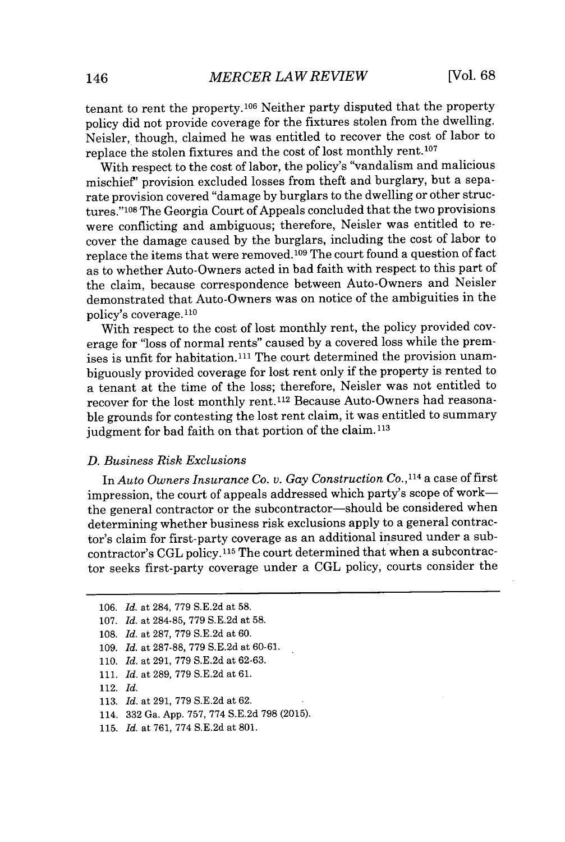tenant to rent the property.106 Neither party disputed that the property policy did not provide coverage for the fixtures stolen from the dwelling. Neisler, though, claimed he was entitled to recover the cost of labor to replace the stolen fixtures and the cost of lost monthly rent.107

With respect to the cost of labor, the policy's "vandalism and malicious mischief' provision excluded losses from theft and burglary, but a separate provision covered "damage **by** burglars to the dwelling or other structures."<sup>108</sup> The Georgia Court of Appeals concluded that the two provisions were conflicting and ambiguous; therefore, Neisler was entitled to recover the damage caused **by** the burglars, including the cost of labor to replace the items that were removed.<sup>109</sup> The court found a question of fact as to whether Auto-Owners acted in bad faith with respect to this part of the claim, because correspondence between Auto-Owners and Neisler demonstrated that Auto-Owners was on notice of the ambiguities in the policy's coverage. <sup>110</sup>

With respect to the cost of lost monthly rent, the policy provided coverage for "loss of normal rents" caused **by** a covered loss while the premises is unfit for habitation.<sup>111</sup> The court determined the provision unambiguously provided coverage for lost rent only if the property is rented to a tenant at the time of the loss; therefore, Neisler was not entitled to recover for the lost monthly rent.112 Because Auto-Owners had reasonable grounds for contesting the lost rent claim, it was entitled to summary judgment for bad faith on that portion of the claim.<sup>113</sup>

#### *D. Business Risk Exclusions*

*In Auto Owners Insurance Co. v. Gay Construction Co.,11 <sup>4</sup>*a case of first impression, the court of appeals addressed which party's scope of workthe general contractor or the subcontractor-should be considered when determining whether business risk exclusions apply to a general contractor's claim for first-party coverage as an additional insured under a subcontractor's **CGL policy. <sup>115</sup>**The court determined that when a subcontractor seeks first-party coverage under a **CGL** policy, courts consider the

- **108.** *Id.* at **287, 779 S.E.2d** at **60.**
- **109.** *Id.* at **287-88, 779 S.E.2d** at **60-61.**
- **110.** *Id.* at **291, 779 S.E.2d** at **62-63.**
- **111.** *Id.* at **289, 779 S.E.2d** at **61.**
- 112. *Id.*
- **113.** *Id.* at **291, 779 S.E.2d** at **62.**
- 114. **332** Ga. **App. 757, 774 S.E.2d 798 (2015).**
- **115.** *Id.* at **761, 774 S.E.2d** at **801.**

**<sup>106.</sup>** *Id.* at 284, **779 S.E.2d** at **58.**

**<sup>107.</sup>** *Id.* at **284-85, 779 S.E.2d** at **58.**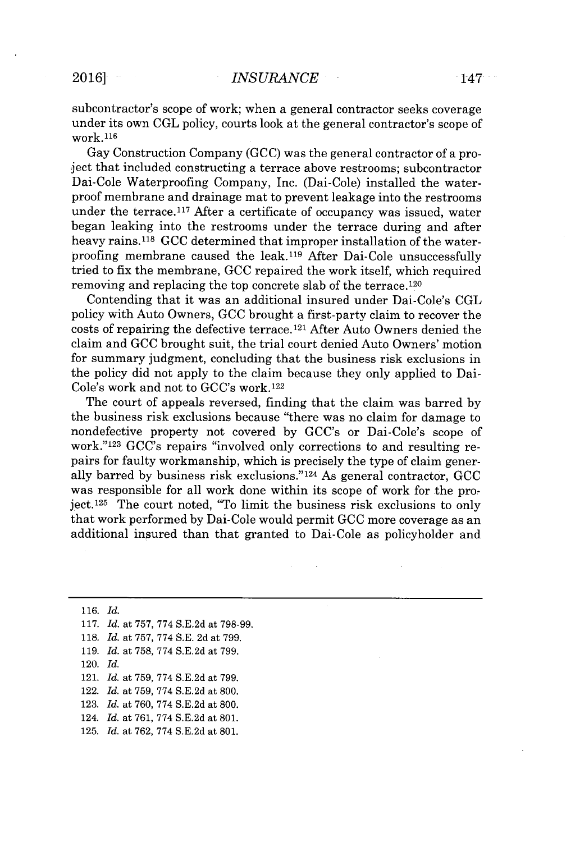subcontractor's scope **of** work; when a general contractor seeks coverage under its own **CGL** policy, courts look at the general contractor's scope of work.<sup>116</sup>

Gay Construction Company **(GCC)** was the general contractor of a project that included constructing a terrace above restrooms; subcontractor Dai-Cole Waterproofing Company, Inc. (Dai-Cole) installed the waterproof membrane and drainage mat to prevent leakage into the restrooms under the terrace.<sup>117</sup> After a certificate of occupancy was issued, water began leaking into the restrooms under the terrace during and after heavy rains.<sup>118</sup>**GCC** determined that improper installation of the waterproofing membrane caused the leak.<sup>119</sup> After Dai-Cole unsuccessfully tried to fix the membrane, **GCC** repaired the work itself, which required removing and replacing the top concrete slab of the terrace.<sup>120</sup>

Contending that it was an additional insured under Dai-Cole's **CGL** policy with Auto Owners, **GCC** brought a first-party claim to recover the costs of repairing the defective terrace.<sup>121</sup> After Auto Owners denied the claim and **GCC** brought suit, the trial court denied Auto Owners' motion for summary judgment, concluding that the business risk exclusions in the policy did not apply to the claim because they only applied to Dai-Cole's work and not to GCC's work. **<sup>122</sup>**

The court of appeals reversed, finding that the claim was barred **by** the business risk exclusions because "there was no claim for damage to nondefective property not covered **by** GCC's or Dai-Cole's scope of work."<sup>123</sup> GCC's repairs "involved only corrections to and resulting repairs for faulty workmanship, which is precisely the type of claim generally barred **by** business risk exclusions."124 As general contractor, **GCC** was responsible for all work done within its scope of work for the project.<sup>125</sup> The court noted, "To limit the business risk exclusions to only that work performed **by** Dai-Cole would permit **GCC** more coverage as an additional insured than that granted to Dai-Cole as policyholder and

**116.** *Id.* **117.** *Id.* at **757, 774 S.E.2d** at **798-99.**

- **118.** *Id.* at **757, 774 S.E. 2d** at **799.**
- **119.** *Id.* at **758, 774 S.E.2d** at **799.**
- 120. *Id.*
- 121. *Id.* at **759, 774 S.E.2d** at **799.**
- 122. *Id.* at **759, 774 S.E.2d** at **800.**
- **123.** *Id.* at **760, 774 S.E.2d** at **800.**
- 124. *Id.* at **761, 774 S.E.2d** at **801.**
- **125.** *Id.* at **762, 774 S.E.2d** at **801.**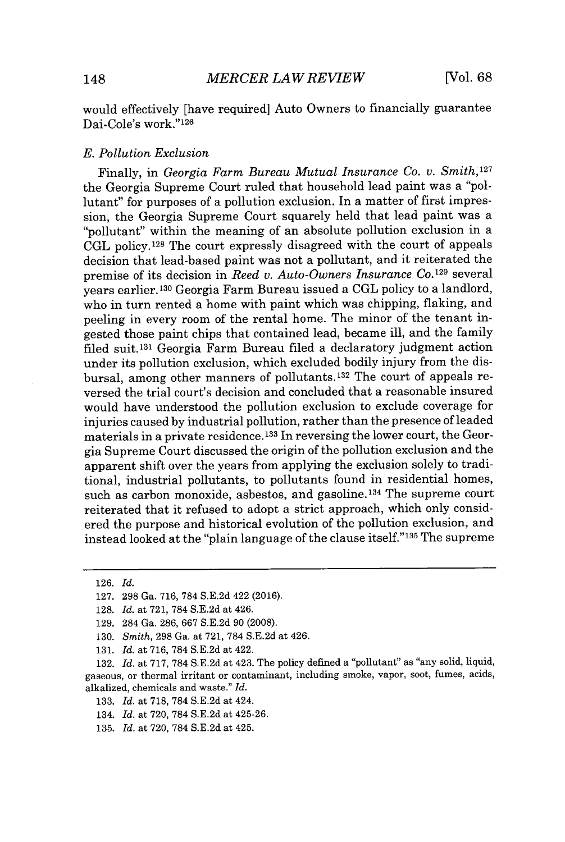would effectively [have required] Auto Owners to financially guarantee Dai-Cole's work."126

#### *E. Pollution Exclusion*

Finally, in *Georgia Farm Bureau Mutual Insurance Co. v. Smith,<sup>127</sup>* the Georgia Supreme Court ruled that household lead paint was a "pollutant" for purposes of a pollution exclusion. In a matter of first impression, the Georgia Supreme Court squarely held that lead paint was a "pollutant" within the meaning of an absolute pollution exclusion in a **CGL policy. <sup>128</sup>**The court expressly disagreed with the court of appeals decision that lead-based paint was not a pollutant, and it reiterated the premise of its decision in *Reed v. Auto-Owners Insurance Co.*<sup>129</sup> several years earlier. <sup>130</sup>Georgia Farm Bureau issued a **CGL** policy to a landlord, who in turn rented a home with paint which was chipping, flaking, and peeling in every room of the rental home. The minor of the tenant ingested those paint chips that contained lead, became ill, and the family filed suit.<sup>131</sup> Georgia Farm Bureau filed a declaratory judgment action under its pollution exclusion, which excluded bodily injury from the disbursal, among other manners of pollutants.<sup>132</sup> The court of appeals reversed the trial court's decision and concluded that a reasonable insured would have understood the pollution exclusion to exclude coverage for injuries caused **by** industrial pollution, rather than the presence of leaded materials in a private residence.<sup>133</sup> In reversing the lower court, the Georgia Supreme Court discussed the origin of the pollution exclusion and the apparent shift over the years from applying the exclusion solely to traditional, industrial pollutants, to pollutants found in residential homes, such as carbon monoxide, asbestos, and gasoline.<sup>134</sup> The supreme court reiterated that it refused to adopt a strict approach, which only considered the purpose and historical evolution of the pollution exclusion, and instead looked at the "plain language of the clause itself."<sup>135</sup> The supreme

**126.** *Id.*

**131.** *Id.* at **716, 784 S.E.2d** at 422.

**<sup>127. 298</sup>** Ga. **716, 784 S.E.2d** 422 **(2016).**

**<sup>128.</sup>** *Id.* at **721, 784 S.E.2d** at 426.

**<sup>129.</sup>** 284 Ga. **286, 667 S.E.2d 90 (2008).**

**<sup>130.</sup>** *Smith,* **298** Ga. at **721, 784 S.E.2d** at 426.

**<sup>132.</sup>** *Id.* at **717, 784 S.E.2d** at 423. The policy defined a "pollutant" as "any solid, liquid, gaseous, or thermal irritant or contaminant, including smoke, vapor, soot, fumes, acids, alkalized, chemicals and waste." *Id.*

**<sup>133.</sup>** *Id.* at **718, 784 S.E.2d** at 424.

<sup>134.</sup> *Id.* at **720, 784 S.E.2d** at 425-26.

**<sup>135.</sup>** *Id.* at **720, 784 S.E.2d** at 425.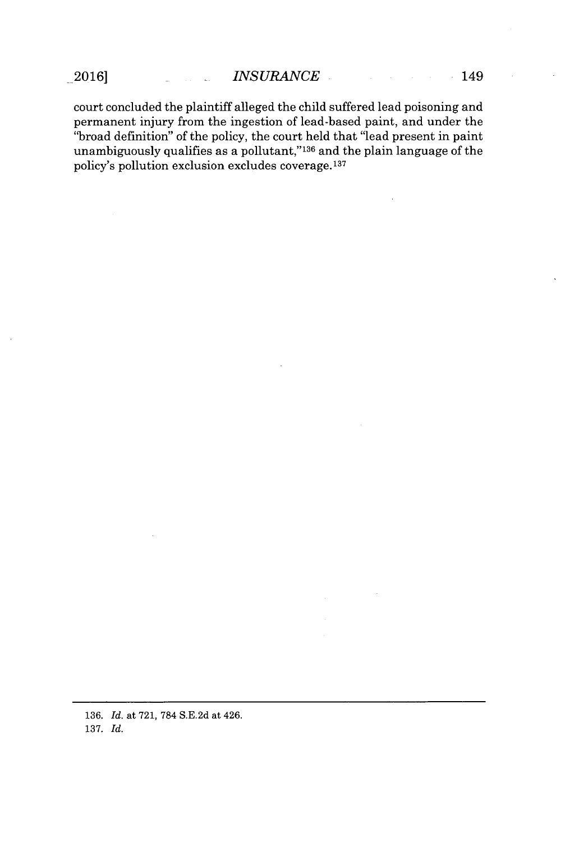court concluded the plaintiff alleged the child suffered lead poisoning and permanent injury from the ingestion of lead-based paint, and under the "broad definition" of the policy, the court held that "lead present in paint unambiguously qualifies as a pollutant,"<sup>136</sup> and the plain language of the policy's pollution exclusion excludes coverage.137